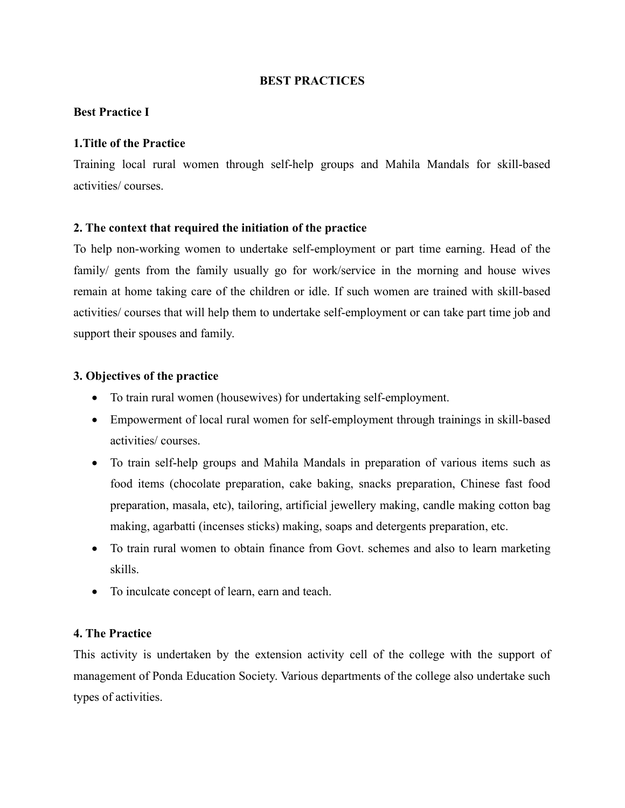## BEST PRACTICES

## Best Practice I

#### 1.Title of the Practice

Training local rural women through self-help groups and Mahila Mandals for skill-based activities/ courses.

#### 2. The context that required the initiation of the practice

To help non-working women to undertake self-employment or part time earning. Head of the family/ gents from the family usually go for work/service in the morning and house wives remain at home taking care of the children or idle. If such women are trained with skill-based activities/ courses that will help them to undertake self-employment or can take part time job and support their spouses and family.

#### 3. Objectives of the practice

- To train rural women (housewives) for undertaking self-employment.
- Empowerment of local rural women for self-employment through trainings in skill-based activities/ courses.
- To train self-help groups and Mahila Mandals in preparation of various items such as food items (chocolate preparation, cake baking, snacks preparation, Chinese fast food preparation, masala, etc), tailoring, artificial jewellery making, candle making cotton bag making, agarbatti (incenses sticks) making, soaps and detergents preparation, etc.
- To train rural women to obtain finance from Govt. schemes and also to learn marketing skills.
- To inculcate concept of learn, earn and teach.

#### 4. The Practice

This activity is undertaken by the extension activity cell of the college with the support of management of Ponda Education Society. Various departments of the college also undertake such types of activities.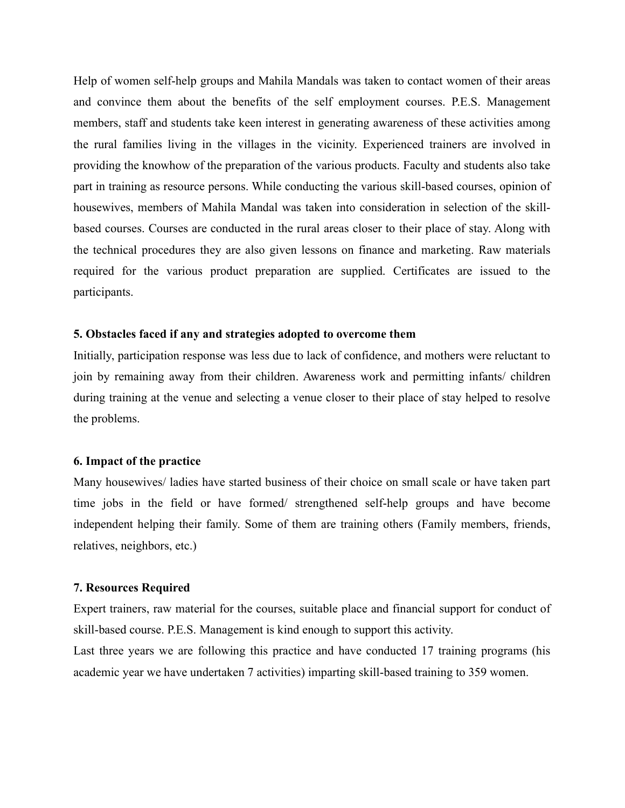Help of women self-help groups and Mahila Mandals was taken to contact women of their areas and convince them about the benefits of the self employment courses. P.E.S. Management members, staff and students take keen interest in generating awareness of these activities among the rural families living in the villages in the vicinity. Experienced trainers are involved in providing the knowhow of the preparation of the various products. Faculty and students also take part in training as resource persons. While conducting the various skill-based courses, opinion of housewives, members of Mahila Mandal was taken into consideration in selection of the skillbased courses. Courses are conducted in the rural areas closer to their place of stay. Along with the technical procedures they are also given lessons on finance and marketing. Raw materials required for the various product preparation are supplied. Certificates are issued to the participants.

#### 5. Obstacles faced if any and strategies adopted to overcome them

Initially, participation response was less due to lack of confidence, and mothers were reluctant to join by remaining away from their children. Awareness work and permitting infants/ children during training at the venue and selecting a venue closer to their place of stay helped to resolve the problems.

#### 6. Impact of the practice

Many housewives/ ladies have started business of their choice on small scale or have taken part time jobs in the field or have formed/ strengthened self-help groups and have become independent helping their family. Some of them are training others (Family members, friends, relatives, neighbors, etc.)

#### 7. Resources Required

Expert trainers, raw material for the courses, suitable place and financial support for conduct of skill-based course. P.E.S. Management is kind enough to support this activity.

Last three years we are following this practice and have conducted 17 training programs (his academic year we have undertaken 7 activities) imparting skill-based training to 359 women.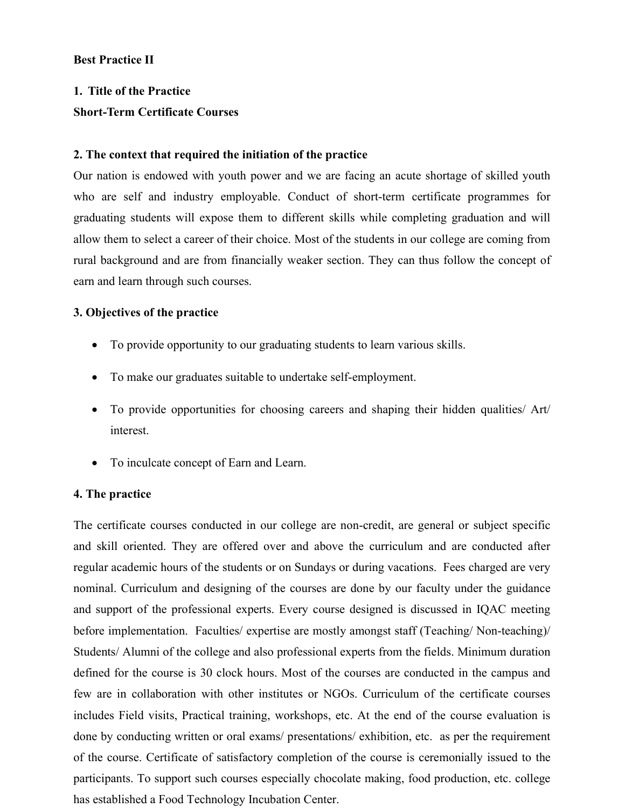# Best Practice II

# 1. Title of the Practice Short‐Term Certificate Courses

# 2. The context that required the initiation of the practice

Our nation is endowed with youth power and we are facing an acute shortage of skilled youth who are self and industry employable. Conduct of short-term certificate programmes for graduating students will expose them to different skills while completing graduation and will allow them to select a career of their choice. Most of the students in our college are coming from rural background and are from financially weaker section. They can thus follow the concept of earn and learn through such courses.

# 3. Objectives of the practice

- To provide opportunity to our graduating students to learn various skills.
- To make our graduates suitable to undertake self-employment.
- To provide opportunities for choosing careers and shaping their hidden qualities/ Art/ interest.
- To inculcate concept of Earn and Learn.

# 4. The practice

The certificate courses conducted in our college are non-credit, are general or subject specific and skill oriented. They are offered over and above the curriculum and are conducted after regular academic hours of the students or on Sundays or during vacations. Fees charged are very nominal. Curriculum and designing of the courses are done by our faculty under the guidance and support of the professional experts. Every course designed is discussed in IQAC meeting before implementation. Faculties/ expertise are mostly amongst staff (Teaching/Non-teaching)/ Students/ Alumni of the college and also professional experts from the fields. Minimum duration defined for the course is 30 clock hours. Most of the courses are conducted in the campus and few are in collaboration with other institutes or NGOs. Curriculum of the certificate courses includes Field visits, Practical training, workshops, etc. At the end of the course evaluation is done by conducting written or oral exams/ presentations/ exhibition, etc. as per the requirement of the course. Certificate of satisfactory completion of the course is ceremonially issued to the participants. To support such courses especially chocolate making, food production, etc. college has established a Food Technology Incubation Center.